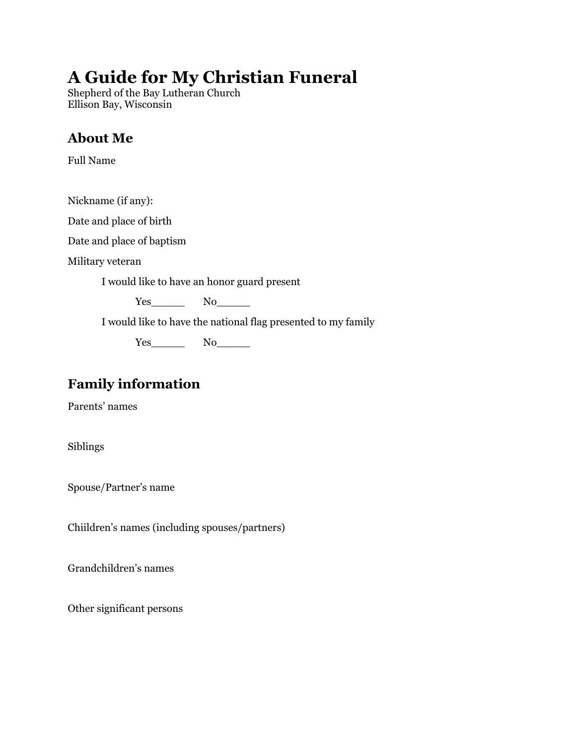# **A Guide for My Christian Funeral**

Shepherd of the Bay Lutheran Church Ellison Bay, Wisconsin

# **About Me**

Full Name

Nickname (if any):

Date and place of birth

Date and place of baptism

Military veteran

I would like to have an honor guard present

Yes\_\_\_\_\_ No\_\_\_\_\_

I would like to have the national flag presented to my family

Yes\_\_\_\_\_ No\_\_\_\_\_

# **Family information**

Parents' names

Siblings

Spouse/Partner's name

Chiildren's names (including spouses/partners)

Grandchildren's names

Other significant persons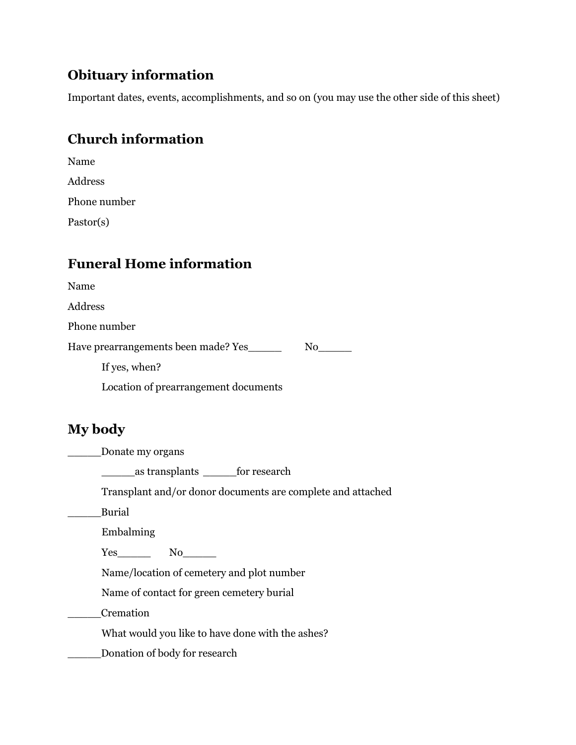### **Obituary information**

Important dates, events, accomplishments, and so on (you may use the other side of this sheet)

# **Church information**

| Name         |  |
|--------------|--|
| Address      |  |
| Phone number |  |
| Pastor(s)    |  |

### **Funeral Home information**

Name

Address

Phone number

Have prearrangements been made? Yes\_\_\_\_\_\_\_ No\_\_\_\_\_

If yes, when?

Location of prearrangement documents

### **My body**

\_\_\_\_\_Donate my organs

\_\_\_\_\_as transplants \_\_\_\_\_for research

Transplant and/or donor documents are complete and attached

\_\_\_\_\_Burial

Embalming

Yes\_\_\_\_\_ No\_\_\_\_\_

Name/location of cemetery and plot number

Name of contact for green cemetery burial

\_\_\_\_\_Cremation

What would you like to have done with the ashes?

\_\_\_\_\_Donation of body for research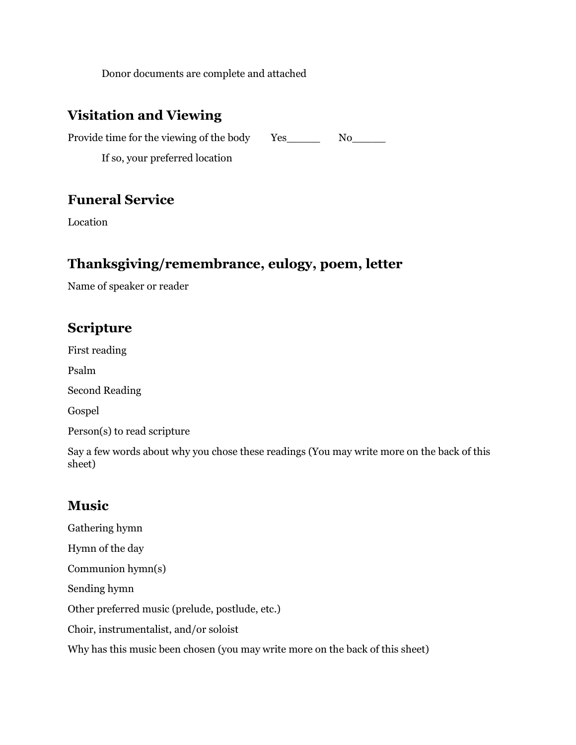Donor documents are complete and attached

### **Visitation and Viewing**

Provide time for the viewing of the body Yes\_\_\_\_\_\_\_ No\_\_\_\_\_

If so, your preferred location

#### **Funeral Service**

Location

#### **Thanksgiving/remembrance, eulogy, poem, letter**

Name of speaker or reader

### **Scripture**

First reading Psalm Second Reading Gospel Person(s) to read scripture

Say a few words about why you chose these readings (You may write more on the back of this sheet)

# **Music**

Gathering hymn Hymn of the day Communion hymn(s) Sending hymn Other preferred music (prelude, postlude, etc.) Choir, instrumentalist, and/or soloist Why has this music been chosen (you may write more on the back of this sheet)